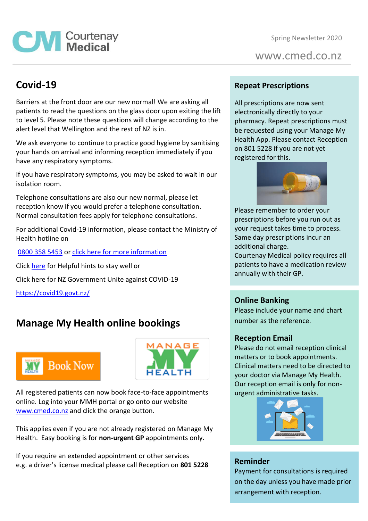Spring Newsletter 2020

www.cmed.co.nz

### **Covid-19**

**CM** Courtenay

Barriers at the front door are our new normal! We are asking all patients to read the questions on the glass door upon exiting the lift to level 5. Please note these questions will change according to the alert level that Wellington and the rest of NZ is in.

We ask everyone to continue to practice good hygiene by sanitising your hands on arrival and informing reception immediately if you have any respiratory symptoms.

If you have respiratory symptoms, you may be asked to wait in our isolation room.

Telephone consultations are also our new normal, please let reception know if you would prefer a telephone consultation. Normal consultation fees apply for telephone consultations.

For additional Covid-19 information, please contact the Ministry of Health hotline on

[0800 358 5453](tel:08003585453) or [click here for more information](https://www.health.govt.nz/our-work/diseases-and-conditions/novel-coronavirus-covid-19)

Click [here](https://www.health.govt.nz/our-work/diseases-and-conditions/covid-19-novel-coronavirus/covid-19-novel-coronavirus-health-advice-general-public) for Helpful hints to stay well or

Click here for NZ Government Unite against COVID-19

<https://covid19.govt.nz/>

## **Manage My Health online bookings**





All registered patients can now book face-to-face appointments online. Log into your MMH portal or go onto our website [www.cmed.co.nz](http://www.cmed.co.nz/) and click the orange button.

This applies even if you are not already registered on Manage My Health. Easy booking is for **non-urgent GP** appointments only.

If you require an extended appointment or other services e.g. a driver's license medical please call Reception on **801 5228**

#### **Repeat Prescriptions**

All prescriptions are now sent electronically directly to your pharmacy. Repeat prescriptions must be requested using your Manage My Health App. Please contact Reception on 801 5228 if you are not yet registered for this.



Please remember to order your prescriptions before you run out as your request takes time to process. Same day prescriptions incur an additional charge.

Courtenay Medical policy requires all patients to have a medication review annually with their GP.

### **Online Banking**

Please include your name and chart number as the reference.

#### **Reception Email**

Please do not email reception clinical matters or to book appointments. Clinical matters need to be directed to your doctor via Manage My Health. Our reception email is only for nonurgent administrative tasks.



### **Reminder**

Payment for consultations is required on the day unless you have made prior arrangement with reception.